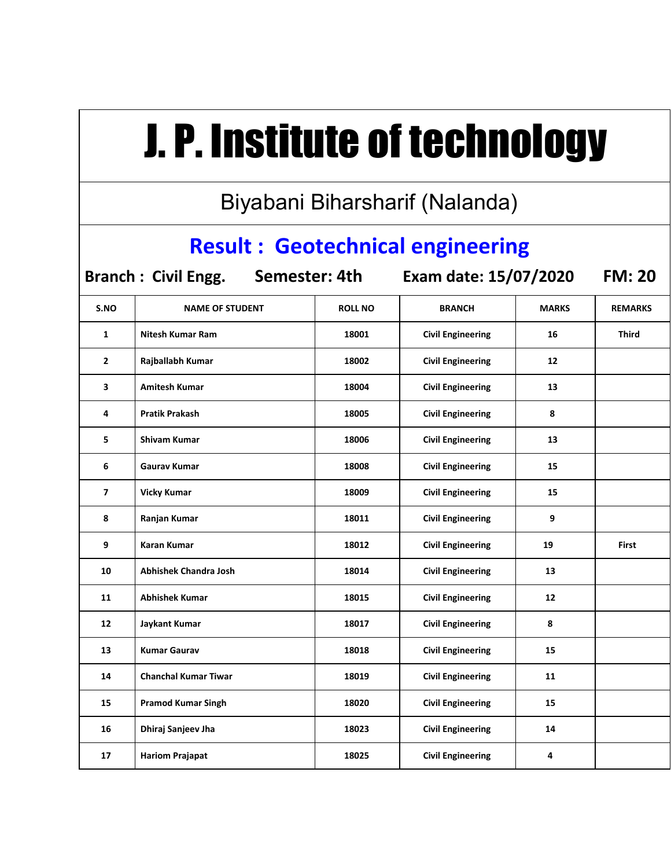## J. P. Institute of technology

Biyabani Biharsharif (Nalanda)

## **Result : Geotechnical engineering**

**Branch : Civil Engg. Semester: 4th Exam date: 15/07/2020 FM: 20**

| S.NO           | <b>NAME OF STUDENT</b>      | <b>ROLL NO</b> | <b>BRANCH</b>            | <b>MARKS</b> | <b>REMARKS</b> |
|----------------|-----------------------------|----------------|--------------------------|--------------|----------------|
| 1              | <b>Nitesh Kumar Ram</b>     | 18001          | <b>Civil Engineering</b> | 16           | <b>Third</b>   |
| $\overline{2}$ | Rajballabh Kumar            | 18002          | <b>Civil Engineering</b> | 12           |                |
| 3              | <b>Amitesh Kumar</b>        | 18004          | <b>Civil Engineering</b> | 13           |                |
| 4              | <b>Pratik Prakash</b>       | 18005          | <b>Civil Engineering</b> | 8            |                |
| 5              | Shivam Kumar                | 18006          | <b>Civil Engineering</b> | 13           |                |
| 6              | Gaurav Kumar                | 18008          | <b>Civil Engineering</b> | 15           |                |
| $\overline{7}$ | <b>Vicky Kumar</b>          | 18009          | <b>Civil Engineering</b> | 15           |                |
| 8              | Ranjan Kumar                | 18011          | <b>Civil Engineering</b> | 9            |                |
| 9              | <b>Karan Kumar</b>          | 18012          | <b>Civil Engineering</b> | 19           | <b>First</b>   |
| 10             | Abhishek Chandra Josh       | 18014          | <b>Civil Engineering</b> | 13           |                |
| 11             | <b>Abhishek Kumar</b>       | 18015          | <b>Civil Engineering</b> | 12           |                |
| 12             | <b>Jaykant Kumar</b>        | 18017          | <b>Civil Engineering</b> | 8            |                |
| 13             | <b>Kumar Gaurav</b>         | 18018          | <b>Civil Engineering</b> | 15           |                |
| 14             | <b>Chanchal Kumar Tiwar</b> | 18019          | <b>Civil Engineering</b> | 11           |                |
| 15             | <b>Pramod Kumar Singh</b>   | 18020          | <b>Civil Engineering</b> | 15           |                |
| 16             | Dhiraj Sanjeev Jha          | 18023          | <b>Civil Engineering</b> | 14           |                |
| 17             | <b>Hariom Prajapat</b>      | 18025          | <b>Civil Engineering</b> | 4            |                |